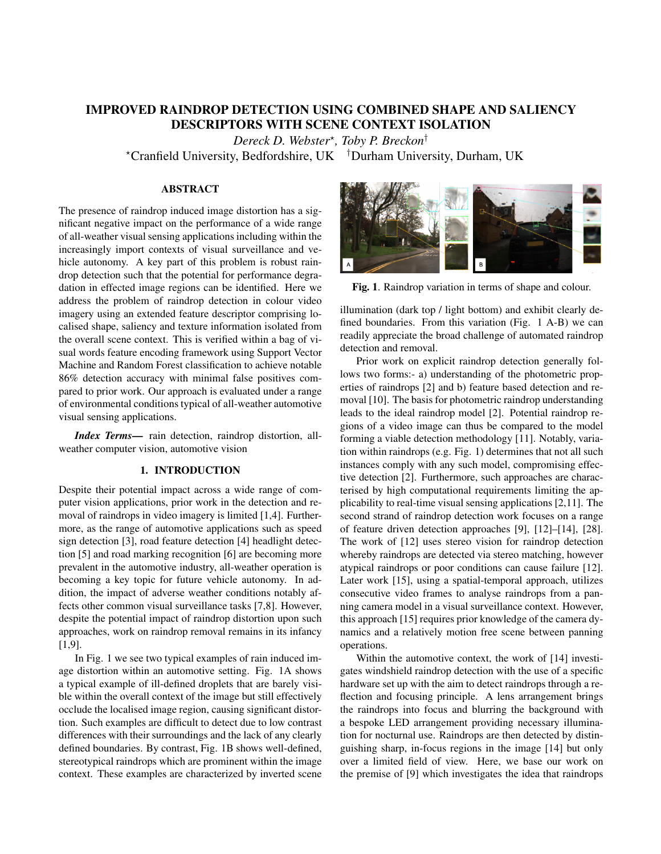# IMPROVED RAINDROP DETECTION USING COMBINED SHAPE AND SALIENCY DESCRIPTORS WITH SCENE CONTEXT ISOLATION

*Dereck D. Webster*? *, Toby P. Breckon*†

?Cranfield University, Bedfordshire, UK †Durham University, Durham, UK

# ABSTRACT

The presence of raindrop induced image distortion has a significant negative impact on the performance of a wide range of all-weather visual sensing applications including within the increasingly import contexts of visual surveillance and vehicle autonomy. A key part of this problem is robust raindrop detection such that the potential for performance degradation in effected image regions can be identified. Here we address the problem of raindrop detection in colour video imagery using an extended feature descriptor comprising localised shape, saliency and texture information isolated from the overall scene context. This is verified within a bag of visual words feature encoding framework using Support Vector Machine and Random Forest classification to achieve notable 86% detection accuracy with minimal false positives compared to prior work. Our approach is evaluated under a range of environmental conditions typical of all-weather automotive visual sensing applications.

*Index Terms*— rain detection, raindrop distortion, allweather computer vision, automotive vision

## 1. INTRODUCTION

Despite their potential impact across a wide range of computer vision applications, prior work in the detection and removal of raindrops in video imagery is limited [1,4]. Furthermore, as the range of automotive applications such as speed sign detection [3], road feature detection [4] headlight detection [5] and road marking recognition [6] are becoming more prevalent in the automotive industry, all-weather operation is becoming a key topic for future vehicle autonomy. In addition, the impact of adverse weather conditions notably affects other common visual surveillance tasks [7,8]. However, despite the potential impact of raindrop distortion upon such approaches, work on raindrop removal remains in its infancy [1,9].

In Fig. 1 we see two typical examples of rain induced image distortion within an automotive setting. Fig. 1A shows a typical example of ill-defined droplets that are barely visible within the overall context of the image but still effectively occlude the localised image region, causing significant distortion. Such examples are difficult to detect due to low contrast differences with their surroundings and the lack of any clearly defined boundaries. By contrast, Fig. 1B shows well-defined, stereotypical raindrops which are prominent within the image context. These examples are characterized by inverted scene



Fig. 1. Raindrop variation in terms of shape and colour.

illumination (dark top / light bottom) and exhibit clearly defined boundaries. From this variation (Fig. 1 A-B) we can readily appreciate the broad challenge of automated raindrop detection and removal.

Prior work on explicit raindrop detection generally follows two forms:- a) understanding of the photometric properties of raindrops [2] and b) feature based detection and removal [10]. The basis for photometric raindrop understanding leads to the ideal raindrop model [2]. Potential raindrop regions of a video image can thus be compared to the model forming a viable detection methodology [11]. Notably, variation within raindrops (e.g. Fig. 1) determines that not all such instances comply with any such model, compromising effective detection [2]. Furthermore, such approaches are characterised by high computational requirements limiting the applicability to real-time visual sensing applications [2,11]. The second strand of raindrop detection work focuses on a range of feature driven detection approaches [9], [12]–[14], [28]. The work of [12] uses stereo vision for raindrop detection whereby raindrops are detected via stereo matching, however atypical raindrops or poor conditions can cause failure [12]. Later work [15], using a spatial-temporal approach, utilizes consecutive video frames to analyse raindrops from a panning camera model in a visual surveillance context. However, this approach [15] requires prior knowledge of the camera dynamics and a relatively motion free scene between panning operations.

Within the automotive context, the work of [14] investigates windshield raindrop detection with the use of a specific hardware set up with the aim to detect raindrops through a reflection and focusing principle. A lens arrangement brings the raindrops into focus and blurring the background with a bespoke LED arrangement providing necessary illumination for nocturnal use. Raindrops are then detected by distinguishing sharp, in-focus regions in the image [14] but only over a limited field of view. Here, we base our work on the premise of [9] which investigates the idea that raindrops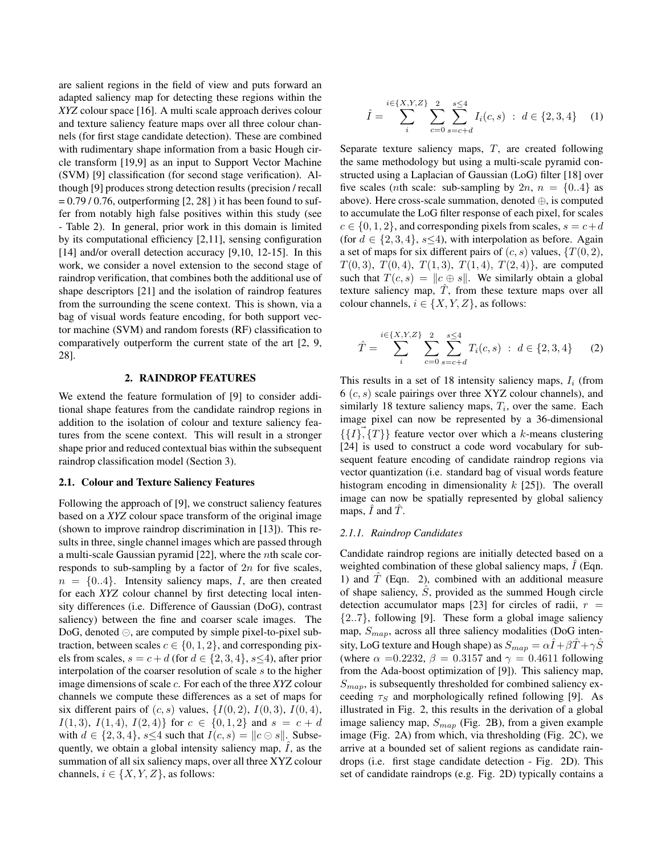are salient regions in the field of view and puts forward an adapted saliency map for detecting these regions within the *XYZ* colour space [16]. A multi scale approach derives colour and texture saliency feature maps over all three colour channels (for first stage candidate detection). These are combined with rudimentary shape information from a basic Hough circle transform [19,9] as an input to Support Vector Machine (SVM) [9] classification (for second stage verification). Although [9] produces strong detection results (precision / recall  $= 0.79 / 0.76$ , outperforming [2, 28] ) it has been found to suffer from notably high false positives within this study (see - Table 2). In general, prior work in this domain is limited by its computational efficiency [2,11], sensing configuration [14] and/or overall detection accuracy [9,10, 12-15]. In this work, we consider a novel extension to the second stage of raindrop verification, that combines both the additional use of shape descriptors [21] and the isolation of raindrop features from the surrounding the scene context. This is shown, via a bag of visual words feature encoding, for both support vector machine (SVM) and random forests (RF) classification to comparatively outperform the current state of the art [2, 9, 28].

#### 2. RAINDROP FEATURES

We extend the feature formulation of [9] to consider additional shape features from the candidate raindrop regions in addition to the isolation of colour and texture saliency features from the scene context. This will result in a stronger shape prior and reduced contextual bias within the subsequent raindrop classification model (Section 3).

#### 2.1. Colour and Texture Saliency Features

Following the approach of [9], we construct saliency features based on a *XYZ* colour space transform of the original image (shown to improve raindrop discrimination in [13]). This results in three, single channel images which are passed through a multi-scale Gaussian pyramid [22], where the nth scale corresponds to sub-sampling by a factor of  $2n$  for five scales,  $n = \{0..4\}$ . Intensity saliency maps, I, are then created for each *XYZ* colour channel by first detecting local intensity differences (i.e. Difference of Gaussian (DoG), contrast saliency) between the fine and coarser scale images. The DoG, denoted  $\ominus$ , are computed by simple pixel-to-pixel subtraction, between scales  $c \in \{0, 1, 2\}$ , and corresponding pixels from scales,  $s = c + d$  (for  $d \in \{2, 3, 4\}$ ,  $s \le 4$ ), after prior interpolation of the coarser resolution of scale s to the higher image dimensions of scale c. For each of the three *XYZ* colour channels we compute these differences as a set of maps for six different pairs of  $(c, s)$  values,  $\{I(0, 2), I(0, 3), I(0, 4),$  $I(1,3), I(1,4), I(2,4)$  for  $c \in \{0,1,2\}$  and  $s = c + d$ with  $d \in \{2, 3, 4\}$ ,  $s \leq 4$  such that  $I(c, s) = ||c \ominus s||$ . Subsequently, we obtain a global intensity saliency map,  $\overline{I}$ , as the summation of all six saliency maps, over all three XYZ colour channels,  $i \in \{X, Y, Z\}$ , as follows:

$$
\hat{I} = \sum_{i}^{i \in \{X, Y, Z\}} \sum_{c=0}^{2} \sum_{s=c+d}^{s \le 4} I_i(c, s) : d \in \{2, 3, 4\} \quad (1)
$$

Separate texture saliency maps,  $T$ , are created following the same methodology but using a multi-scale pyramid constructed using a Laplacian of Gaussian (LoG) filter [18] over five scales (*n*th scale: sub-sampling by 2*n*,  $n = \{0..4\}$  as above). Here cross-scale summation, denoted ⊕, is computed to accumulate the LoG filter response of each pixel, for scales  $c \in \{0, 1, 2\}$ , and corresponding pixels from scales,  $s = c+d$ (for  $d \in \{2, 3, 4\}$ ,  $s \le 4$ ), with interpolation as before. Again a set of maps for six different pairs of  $(c, s)$  values,  $\{T(0, 2),$  $T(0, 3)$ ,  $T(0, 4)$ ,  $T(1, 3)$ ,  $T(1, 4)$ ,  $T(2, 4)$ , are computed such that  $T(c, s) = ||c \oplus s||$ . We similarly obtain a global texture saliency map,  $\hat{T}$ , from these texture maps over all colour channels,  $i \in \{X, Y, Z\}$ , as follows:

$$
\hat{T} = \sum_{i}^{i \in \{X, Y, Z\}} \sum_{c=0}^{2} \sum_{s=c+d}^{s \le 4} T_i(c, s) : d \in \{2, 3, 4\} \tag{2}
$$

This results in a set of 18 intensity saliency maps,  $I_i$  (from  $6 (c, s)$  scale pairings over three XYZ colour channels), and similarly 18 texture saliency maps,  $T_i$ , over the same. Each image pixel can now be represented by a 36-dimensional  $\{\{I\},\{T\}\}\$  feature vector over which a k-means clustering [24] is used to construct a code word vocabulary for subsequent feature encoding of candidate raindrop regions via vector quantization (i.e. standard bag of visual words feature histogram encoding in dimensionality  $k$  [25]). The overall image can now be spatially represented by global saliency maps,  $\hat{I}$  and  $\hat{T}$ .

### *2.1.1. Raindrop Candidates*

Candidate raindrop regions are initially detected based on a weighted combination of these global saliency maps,  $\hat{I}$  (Eqn. 1) and  $\hat{T}$  (Eqn. 2), combined with an additional measure of shape saliency,  $\hat{S}$ , provided as the summed Hough circle detection accumulator maps [23] for circles of radii,  $r =$  $\{2..7\}$ , following [9]. These form a global image saliency map,  $S_{map}$ , across all three saliency modalities (DoG intensity, LoG texture and Hough shape) as  $S_{map} = \alpha \hat{I} + \beta \hat{T} + \gamma \hat{S}$ (where  $\alpha = 0.2232$ ,  $\beta = 0.3157$  and  $\gamma = 0.4611$  following from the Ada-boost optimization of [9]). This saliency map,  $S_{map}$ , is subsequently thresholded for combined saliency exceeding  $\tau_s$  and morphologically refined following [9]. As illustrated in Fig. 2, this results in the derivation of a global image saliency map,  $S_{map}$  (Fig. 2B), from a given example image (Fig. 2A) from which, via thresholding (Fig. 2C), we arrive at a bounded set of salient regions as candidate raindrops (i.e. first stage candidate detection - Fig. 2D). This set of candidate raindrops (e.g. Fig. 2D) typically contains a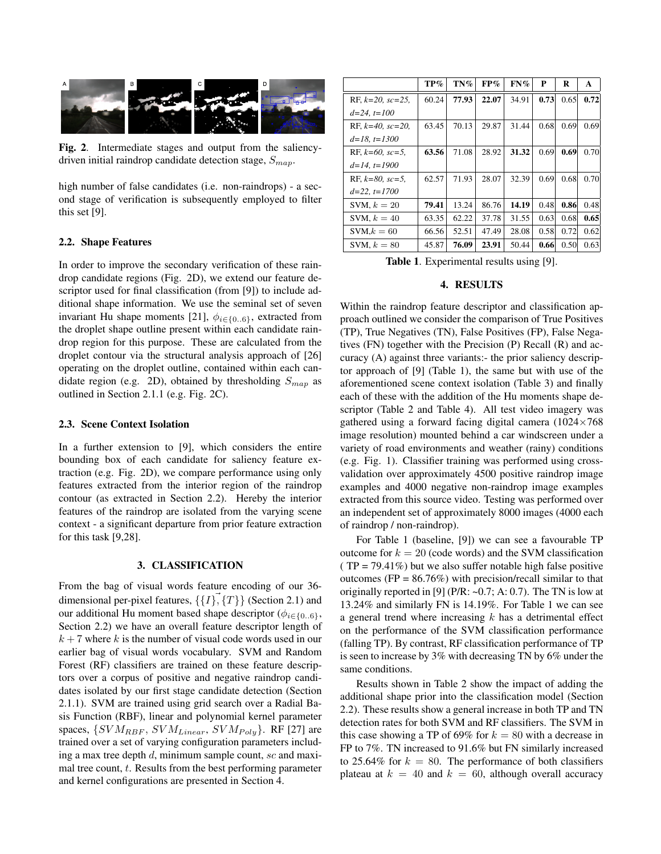

Fig. 2. Intermediate stages and output from the saliencydriven initial raindrop candidate detection stage,  $S_{map}$ .

high number of false candidates (i.e. non-raindrops) - a second stage of verification is subsequently employed to filter this set [9].

## 2.2. Shape Features

In order to improve the secondary verification of these raindrop candidate regions (Fig. 2D), we extend our feature descriptor used for final classification (from [9]) to include additional shape information. We use the seminal set of seven invariant Hu shape moments [21],  $\phi_{i \in \{0..6\}}$ , extracted from the droplet shape outline present within each candidate raindrop region for this purpose. These are calculated from the droplet contour via the structural analysis approach of [26] operating on the droplet outline, contained within each candidate region (e.g. 2D), obtained by thresholding  $S_{map}$  as outlined in Section 2.1.1 (e.g. Fig. 2C).

#### 2.3. Scene Context Isolation

In a further extension to [9], which considers the entire bounding box of each candidate for saliency feature extraction (e.g. Fig. 2D), we compare performance using only features extracted from the interior region of the raindrop contour (as extracted in Section 2.2). Hereby the interior features of the raindrop are isolated from the varying scene context - a significant departure from prior feature extraction for this task [9,28].

#### 3. CLASSIFICATION

From the bag of visual words feature encoding of our 36 dimensional per-pixel features,  $\{\{I\}, \{T\}\}\$  (Section 2.1) and our additional Hu moment based shape descriptor ( $\phi_{i \in \{0..6\}}$ , Section 2.2) we have an overall feature descriptor length of  $k + 7$  where k is the number of visual code words used in our earlier bag of visual words vocabulary. SVM and Random Forest (RF) classifiers are trained on these feature descriptors over a corpus of positive and negative raindrop candidates isolated by our first stage candidate detection (Section 2.1.1). SVM are trained using grid search over a Radial Basis Function (RBF), linear and polynomial kernel parameter spaces,  $\{SVM_{RBF}, \, SVM_{Linear}, \, SVM_{Poly}\}.$  RF [27] are trained over a set of varying configuration parameters including a max tree depth  $d$ , minimum sample count,  $\mathfrak{so}$  and maximal tree count,  $t$ . Results from the best performing parameter and kernel configurations are presented in Section 4.

|                        | $TP\%$ | TN%   | FP%   | $FN\%$ | P    | R    | A    |
|------------------------|--------|-------|-------|--------|------|------|------|
| RF, $k=20$ , $sc=25$ , | 60.24  | 77.93 | 22.07 | 34.91  | 0.73 | 0.65 | 0.72 |
| $d=24, t=100$          |        |       |       |        |      |      |      |
| RF, $k=40$ , $sc=20$ . | 63.45  | 70.13 | 29.87 | 31.44  | 0.68 | 0.69 | 0.69 |
| $d=18$ , $t=1300$      |        |       |       |        |      |      |      |
| RF, $k=60$ , $sc=5$ .  | 63.56  | 71.08 | 28.92 | 31.32  | 0.69 | 0.69 | 0.70 |
| $d=14$ , $t=1900$      |        |       |       |        |      |      |      |
| RF, $k=80$ , $sc=5$ ,  | 62.57  | 71.93 | 28.07 | 32.39  | 0.69 | 0.68 | 0.70 |
| $d=22$ , $t=1700$      |        |       |       |        |      |      |      |
| SVM, $k = 20$          | 79.41  | 13.24 | 86.76 | 14.19  | 0.48 | 0.86 | 0.48 |
| SVM, $k = 40$          | 63.35  | 62.22 | 37.78 | 31.55  | 0.63 | 0.68 | 0.65 |
| $SVM,k = 60$           | 66.56  | 52.51 | 47.49 | 28.08  | 0.58 | 0.72 | 0.62 |
| SVM, $k = 80$          | 45.87  | 76.09 | 23.91 | 50.44  | 0.66 | 0.50 | 0.63 |

Table 1. Experimental results using [9].

## 4. RESULTS

Within the raindrop feature descriptor and classification approach outlined we consider the comparison of True Positives (TP), True Negatives (TN), False Positives (FP), False Negatives (FN) together with the Precision (P) Recall (R) and accuracy (A) against three variants:- the prior saliency descriptor approach of [9] (Table 1), the same but with use of the aforementioned scene context isolation (Table 3) and finally each of these with the addition of the Hu moments shape descriptor (Table 2 and Table 4). All test video imagery was gathered using a forward facing digital camera (1024×768 image resolution) mounted behind a car windscreen under a variety of road environments and weather (rainy) conditions (e.g. Fig. 1). Classifier training was performed using crossvalidation over approximately 4500 positive raindrop image examples and 4000 negative non-raindrop image examples extracted from this source video. Testing was performed over an independent set of approximately 8000 images (4000 each of raindrop / non-raindrop).

For Table 1 (baseline, [9]) we can see a favourable TP outcome for  $k = 20$  (code words) and the SVM classification (TP = 79.41%) but we also suffer notable high false positive outcomes ( $FP = 86.76\%$ ) with precision/recall similar to that originally reported in [9] (P/R:  $\sim 0.7$ ; A: 0.7). The TN is low at 13.24% and similarly FN is 14.19%. For Table 1 we can see a general trend where increasing  $k$  has a detrimental effect on the performance of the SVM classification performance (falling TP). By contrast, RF classification performance of TP is seen to increase by 3% with decreasing TN by 6% under the same conditions.

Results shown in Table 2 show the impact of adding the additional shape prior into the classification model (Section 2.2). These results show a general increase in both TP and TN detection rates for both SVM and RF classifiers. The SVM in this case showing a TP of 69% for  $k = 80$  with a decrease in FP to 7%. TN increased to 91.6% but FN similarly increased to 25.64% for  $k = 80$ . The performance of both classifiers plateau at  $k = 40$  and  $k = 60$ , although overall accuracy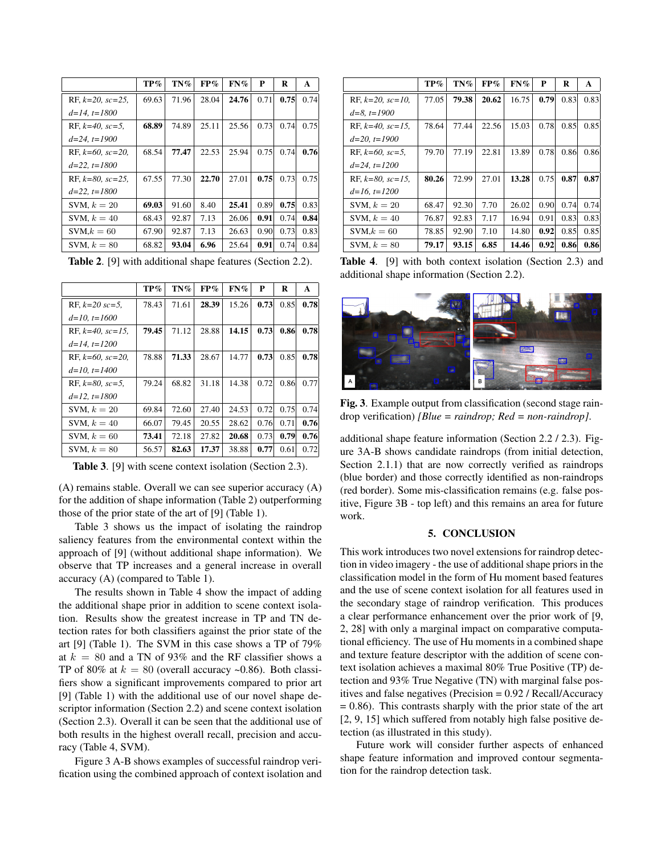|                        | $TP\%$ | $TN\%$ | FP%   | $FN\%$ | P    | R    | $\mathbf{A}$ |
|------------------------|--------|--------|-------|--------|------|------|--------------|
| RF, $k=20$ , $sc=25$ , | 69.63  | 71.96  | 28.04 | 24.76  | 0.71 | 0.75 | 0.74         |
| $d=14$ , $t=1800$      |        |        |       |        |      |      |              |
| RF, $k=40$ , $sc=5$ ,  | 68.89  | 74.89  | 25.11 | 25.56  | 0.73 | 0.74 | 0.75         |
| $d=24, t=1900$         |        |        |       |        |      |      |              |
| RF, $k=60$ , $sc=20$ . | 68.54  | 77.47  | 22.53 | 25.94  | 0.75 | 0.74 | 0.76         |
| $d=22$ , $t=1800$      |        |        |       |        |      |      |              |
| RF, $k=80$ , $sc=25$ , | 67.55  | 77.30  | 22.70 | 27.01  | 0.75 | 0.73 | 0.75         |
| $d=22$ , $t=1800$      |        |        |       |        |      |      |              |
| SVM, $k = 20$          | 69.03  | 91.60  | 8.40  | 25.41  | 0.89 | 0.75 | 0.83         |
| SVM, $k = 40$          | 68.43  | 92.87  | 7.13  | 26.06  | 0.91 | 0.74 | 0.84         |
| $SVM,k = 60$           | 67.90  | 92.87  | 7.13  | 26.63  | 0.90 | 0.73 | 0.83         |
| SVM, $k = 80$          | 68.82  | 93.04  | 6.96  | 25.64  | 0.91 | 0.74 | 0.84         |

Table 2. [9] with additional shape features (Section 2.2).

|                        | TP%   | TN%   | FP%   | $FN\%$ | P    | R    | A    |
|------------------------|-------|-------|-------|--------|------|------|------|
| RF, $k=20$ sc=5,       | 78.43 | 71.61 | 28.39 | 15.26  | 0.73 | 0.85 | 0.78 |
| $d=10$ , $t=1600$      |       |       |       |        |      |      |      |
| RF, $k=40$ , $sc=15$ , | 79.45 | 71.12 | 28.88 | 14.15  | 0.73 | 0.86 | 0.78 |
| $d=14$ , $t=1200$      |       |       |       |        |      |      |      |
| RF, $k=60$ , $sc=20$ , | 78.88 | 71.33 | 28.67 | 14.77  | 0.73 | 0.85 | 0.78 |
| $d=10$ , $t=1400$      |       |       |       |        |      |      |      |
| RF, $k=80$ , $sc=5$ .  | 79.24 | 68.82 | 31.18 | 14.38  | 0.72 | 0.86 | 0.77 |
| $d=12$ , $t=1800$      |       |       |       |        |      |      |      |
| SVM, $k = 20$          | 69.84 | 72.60 | 27.40 | 24.53  | 0.72 | 0.75 | 0.74 |
| SVM, $k = 40$          | 66.07 | 79.45 | 20.55 | 28.62  | 0.76 | 0.71 | 0.76 |
| SVM, $k = 60$          | 73.41 | 72.18 | 27.82 | 20.68  | 0.73 | 0.79 | 0.76 |
| SVM, $k = 80$          | 56.57 | 82.63 | 17.37 | 38.88  | 0.77 | 0.61 | 0.72 |

Table 3. [9] with scene context isolation (Section 2.3).

(A) remains stable. Overall we can see superior accuracy (A) for the addition of shape information (Table 2) outperforming those of the prior state of the art of [9] (Table 1).

Table 3 shows us the impact of isolating the raindrop saliency features from the environmental context within the approach of [9] (without additional shape information). We observe that TP increases and a general increase in overall accuracy (A) (compared to Table 1).

The results shown in Table 4 show the impact of adding the additional shape prior in addition to scene context isolation. Results show the greatest increase in TP and TN detection rates for both classifiers against the prior state of the art [9] (Table 1). The SVM in this case shows a TP of 79% at  $k = 80$  and a TN of 93% and the RF classifier shows a TP of 80% at  $k = 80$  (overall accuracy ~0.86). Both classifiers show a significant improvements compared to prior art [9] (Table 1) with the additional use of our novel shape descriptor information (Section 2.2) and scene context isolation (Section 2.3). Overall it can be seen that the additional use of both results in the highest overall recall, precision and accuracy (Table 4, SVM).

Figure 3 A-B shows examples of successful raindrop verification using the combined approach of context isolation and

|                        | TP%   | $TN\%$ | FP%   | $FN\%$ | P    | R    | A    |
|------------------------|-------|--------|-------|--------|------|------|------|
| RF, $k=20$ , $sc=10$ , | 77.05 | 79.38  | 20.62 | 16.75  | 0.79 | 0.83 | 0.83 |
| $d=8, t=1900$          |       |        |       |        |      |      |      |
| RF, $k=40$ , $sc=15$ , | 78.64 | 77.44  | 22.56 | 15.03  | 0.78 | 0.85 | 0.85 |
| $d=20$ , $t=1900$      |       |        |       |        |      |      |      |
| RF, $k=60$ , $sc=5$ ,  | 79.70 | 77.19  | 22.81 | 13.89  | 0.78 | 0.86 | 0.86 |
| $d=24, t=1200$         |       |        |       |        |      |      |      |
| RF, $k=80$ , $sc=15$ . | 80.26 | 72.99  | 27.01 | 13.28  | 0.75 | 0.87 | 0.87 |
| $d=16$ , $t=1200$      |       |        |       |        |      |      |      |
| SVM, $k = 20$          | 68.47 | 92.30  | 7.70  | 26.02  | 0.90 | 0.74 | 0.74 |
| SVM, $k = 40$          | 76.87 | 92.83  | 7.17  | 16.94  | 0.91 | 0.83 | 0.83 |
| $SVM,k = 60$           | 78.85 | 92.90  | 7.10  | 14.80  | 0.92 | 0.85 | 0.85 |
| SVM, $k = 80$          | 79.17 | 93.15  | 6.85  | 14.46  | 0.92 | 0.86 | 0.86 |

Table 4. [9] with both context isolation (Section 2.3) and additional shape information (Section 2.2).



Fig. 3. Example output from classification (second stage raindrop verification) *[Blue = raindrop; Red = non-raindrop]*.

additional shape feature information (Section 2.2 / 2.3). Figure 3A-B shows candidate raindrops (from initial detection, Section 2.1.1) that are now correctly verified as raindrops (blue border) and those correctly identified as non-raindrops (red border). Some mis-classification remains (e.g. false positive, Figure 3B - top left) and this remains an area for future work.

## 5. CONCLUSION

This work introduces two novel extensions for raindrop detection in video imagery - the use of additional shape priors in the classification model in the form of Hu moment based features and the use of scene context isolation for all features used in the secondary stage of raindrop verification. This produces a clear performance enhancement over the prior work of [9, 2, 28] with only a marginal impact on comparative computational efficiency. The use of Hu moments in a combined shape and texture feature descriptor with the addition of scene context isolation achieves a maximal 80% True Positive (TP) detection and 93% True Negative (TN) with marginal false positives and false negatives (Precision = 0.92 / Recall/Accuracy  $= 0.86$ ). This contrasts sharply with the prior state of the art [2, 9, 15] which suffered from notably high false positive detection (as illustrated in this study).

Future work will consider further aspects of enhanced shape feature information and improved contour segmentation for the raindrop detection task.